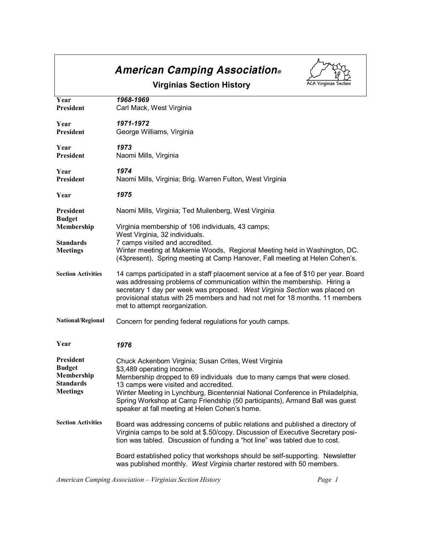|                                                                                 | <b>American Camping Association</b> ®                                                                                                                                                                                                                                                                                                                                                                                     |
|---------------------------------------------------------------------------------|---------------------------------------------------------------------------------------------------------------------------------------------------------------------------------------------------------------------------------------------------------------------------------------------------------------------------------------------------------------------------------------------------------------------------|
|                                                                                 | <b>ACA Virginias Section</b><br><b>Virginias Section History</b>                                                                                                                                                                                                                                                                                                                                                          |
| Year<br>President                                                               | 1968-1969<br>Carl Mack, West Virginia                                                                                                                                                                                                                                                                                                                                                                                     |
| Year<br><b>President</b>                                                        | 1971-1972<br>George Williams, Virginia                                                                                                                                                                                                                                                                                                                                                                                    |
| Year<br>President                                                               | 1973<br>Naomi Mills, Virginia                                                                                                                                                                                                                                                                                                                                                                                             |
| Year<br>President                                                               | 1974<br>Naomi Mills, Virginia; Brig. Warren Fulton, West Virginia                                                                                                                                                                                                                                                                                                                                                         |
| Year                                                                            | 1975                                                                                                                                                                                                                                                                                                                                                                                                                      |
| President<br><b>Budget</b>                                                      | Naomi Mills, Virginia; Ted Muilenberg, West Virginia                                                                                                                                                                                                                                                                                                                                                                      |
| Membership                                                                      | Virginia membership of 106 individuals, 43 camps;<br>West Virginia, 32 individuals.                                                                                                                                                                                                                                                                                                                                       |
| <b>Standards</b><br><b>Meetings</b>                                             | 7 camps visited and accredited.<br>Winter meeting at Makemie Woods, Regional Meeting held in Washington, DC.<br>(43present), Spring meeting at Camp Hanover, Fall meeting at Helen Cohen's.                                                                                                                                                                                                                               |
| <b>Section Activities</b>                                                       | 14 camps participated in a staff placement service at a fee of \$10 per year. Board<br>was addressing problems of communication within the membership. Hiring a<br>secretary 1 day per week was proposed. West Virginia Section was placed on<br>provisional status with 25 members and had not met for 18 months. 11 members<br>met to attempt reorganization.                                                           |
| National/Regional                                                               | Concern for pending federal regulations for youth camps.                                                                                                                                                                                                                                                                                                                                                                  |
| Year                                                                            | 1976                                                                                                                                                                                                                                                                                                                                                                                                                      |
| President<br><b>Budget</b><br>Membership<br><b>Standards</b><br><b>Meetings</b> | Chuck Ackenbom Virginia; Susan Crites, West Virginia<br>\$3,489 operating income.<br>Membership dropped to 69 individuals due to many camps that were closed.<br>13 camps were visited and accredited.<br>Winter Meeting in Lynchburg, Bicentennial National Conference in Philadelphia,<br>Spring Workshop at Camp Friendship (50 participants), Armand Ball was guest<br>speaker at fall meeting at Helen Cohen's home. |
| <b>Section Activities</b>                                                       | Board was addressing concerns of public relations and published a directory of<br>Virginia camps to be sold at \$.50/copy. Discussion of Executive Secretary posi-<br>tion was tabled. Discussion of funding a "hot line" was tabled due to cost.                                                                                                                                                                         |
|                                                                                 | Board established policy that workshops should be self-supporting. Newsletter<br>was published monthly. West Virginia charter restored with 50 members.                                                                                                                                                                                                                                                                   |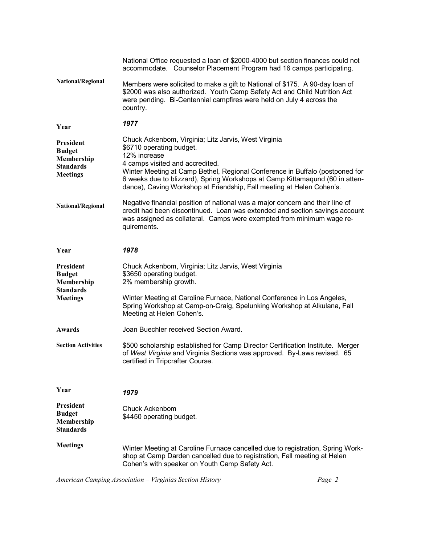|                                                                                 | National Office requested a loan of \$2000-4000 but section finances could not<br>accommodate. Counselor Placement Program had 16 camps participating.                                                                                                                                                                                                                       |
|---------------------------------------------------------------------------------|------------------------------------------------------------------------------------------------------------------------------------------------------------------------------------------------------------------------------------------------------------------------------------------------------------------------------------------------------------------------------|
| National/Regional                                                               | Members were solicited to make a gift to National of \$175. A 90-day loan of<br>\$2000 was also authorized. Youth Camp Safety Act and Child Nutrition Act<br>were pending. Bi-Centennial campfires were held on July 4 across the<br>country.                                                                                                                                |
| Year                                                                            | 1977                                                                                                                                                                                                                                                                                                                                                                         |
| President<br><b>Budget</b><br>Membership<br><b>Standards</b><br><b>Meetings</b> | Chuck Ackenbom, Virginia; Litz Jarvis, West Virginia<br>\$6710 operating budget.<br>12% increase<br>4 camps visited and accredited.<br>Winter Meeting at Camp Bethel, Regional Conference in Buffalo (postponed for<br>6 weeks due to blizzard), Spring Workshops at Camp Kittamaqund (60 in atten-<br>dance), Caving Workshop at Friendship, Fall meeting at Helen Cohen's. |
| National/Regional                                                               | Negative financial position of national was a major concern and their line of<br>credit had been discontinued. Loan was extended and section savings account<br>was assigned as collateral. Camps were exempted from minimum wage re-<br>quirements.                                                                                                                         |
| Year                                                                            | 1978                                                                                                                                                                                                                                                                                                                                                                         |
| President                                                                       | Chuck Ackenbom, Virginia; Litz Jarvis, West Virginia                                                                                                                                                                                                                                                                                                                         |
| <b>Budget</b><br>Membership<br><b>Standards</b><br><b>Meetings</b>              | \$3650 operating budget.<br>2% membership growth.<br>Winter Meeting at Caroline Furnace, National Conference in Los Angeles,<br>Spring Workshop at Camp-on-Craig, Spelunking Workshop at Alkulana, Fall<br>Meeting at Helen Cohen's.                                                                                                                                         |
| Awards                                                                          | Joan Buechler received Section Award.                                                                                                                                                                                                                                                                                                                                        |
| <b>Section Activities</b>                                                       | \$500 scholarship established for Camp Director Certification Institute. Merger<br>of West Virginia and Virginia Sections was approved. By-Laws revised. 65<br>certified in Tripcrafter Course.                                                                                                                                                                              |
| Year                                                                            | 1979                                                                                                                                                                                                                                                                                                                                                                         |
| <b>President</b><br><b>Budget</b><br>Membership<br><b>Standards</b>             | Chuck Ackenbom<br>\$4450 operating budget.                                                                                                                                                                                                                                                                                                                                   |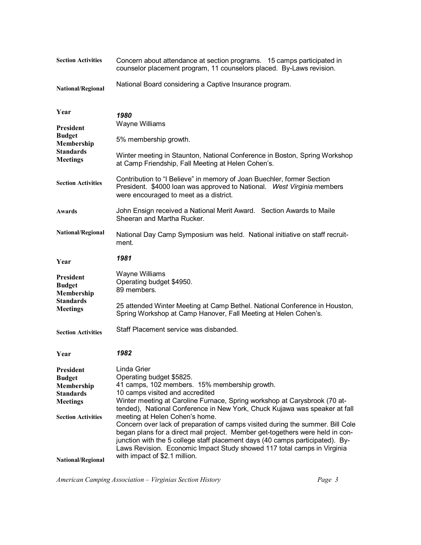| <b>Section Activities</b>                                                                                    | Concern about attendance at section programs. 15 camps participated in<br>counselor placement program, 11 counselors placed. By-Laws revision.                                                                                                                                                                                                                                                                                                                                                                                                                                                                                                                                           |
|--------------------------------------------------------------------------------------------------------------|------------------------------------------------------------------------------------------------------------------------------------------------------------------------------------------------------------------------------------------------------------------------------------------------------------------------------------------------------------------------------------------------------------------------------------------------------------------------------------------------------------------------------------------------------------------------------------------------------------------------------------------------------------------------------------------|
| National/Regional                                                                                            | National Board considering a Captive Insurance program.                                                                                                                                                                                                                                                                                                                                                                                                                                                                                                                                                                                                                                  |
| Year<br>President                                                                                            | 1980<br>Wayne Williams                                                                                                                                                                                                                                                                                                                                                                                                                                                                                                                                                                                                                                                                   |
| <b>Budget</b><br>Membership                                                                                  | 5% membership growth.                                                                                                                                                                                                                                                                                                                                                                                                                                                                                                                                                                                                                                                                    |
| <b>Standards</b><br><b>Meetings</b>                                                                          | Winter meeting in Staunton, National Conference in Boston, Spring Workshop<br>at Camp Friendship, Fall Meeting at Helen Cohen's.                                                                                                                                                                                                                                                                                                                                                                                                                                                                                                                                                         |
| <b>Section Activities</b>                                                                                    | Contribution to "I Believe" in memory of Joan Buechler, former Section<br>President. \$4000 loan was approved to National. West Virginia members<br>were encouraged to meet as a district.                                                                                                                                                                                                                                                                                                                                                                                                                                                                                               |
| Awards                                                                                                       | John Ensign received a National Merit Award. Section Awards to Maile<br>Sheeran and Martha Rucker.                                                                                                                                                                                                                                                                                                                                                                                                                                                                                                                                                                                       |
| National/Regional                                                                                            | National Day Camp Symposium was held. National initiative on staff recruit-<br>ment.                                                                                                                                                                                                                                                                                                                                                                                                                                                                                                                                                                                                     |
| Year                                                                                                         | 1981                                                                                                                                                                                                                                                                                                                                                                                                                                                                                                                                                                                                                                                                                     |
| President<br><b>Budget</b><br>Membership                                                                     | Wayne Williams<br>Operating budget \$4950.<br>89 members.                                                                                                                                                                                                                                                                                                                                                                                                                                                                                                                                                                                                                                |
| <b>Standards</b><br><b>Meetings</b>                                                                          | 25 attended Winter Meeting at Camp Bethel. National Conference in Houston,<br>Spring Workshop at Camp Hanover, Fall Meeting at Helen Cohen's.                                                                                                                                                                                                                                                                                                                                                                                                                                                                                                                                            |
| <b>Section Activities</b>                                                                                    | Staff Placement service was disbanded.                                                                                                                                                                                                                                                                                                                                                                                                                                                                                                                                                                                                                                                   |
| Year                                                                                                         | 1982                                                                                                                                                                                                                                                                                                                                                                                                                                                                                                                                                                                                                                                                                     |
| President<br><b>Budget</b><br>Membership<br><b>Standards</b><br><b>Meetings</b><br><b>Section Activities</b> | Linda Grier<br>Operating budget \$5825.<br>41 camps, 102 members. 15% membership growth.<br>10 camps visited and accredited<br>Winter meeting at Caroline Furnace, Spring workshop at Carysbrook (70 at-<br>tended), National Conference in New York, Chuck Kujawa was speaker at fall<br>meeting at Helen Cohen's home.<br>Concern over lack of preparation of camps visited during the summer. Bill Cole<br>began plans for a direct mail project. Member get-togethers were held in con-<br>junction with the 5 college staff placement days (40 camps participated). By-<br>Laws Revision. Economic Impact Study showed 117 total camps in Virginia<br>with impact of \$2.1 million. |
| National/Regional                                                                                            |                                                                                                                                                                                                                                                                                                                                                                                                                                                                                                                                                                                                                                                                                          |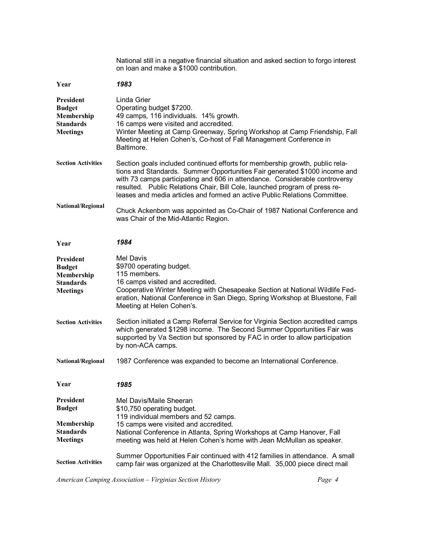**Year President Budget Membership Standards Meetings Section Activities National/Regional Year President Budget Membership Standards Meetings Section Activities National/Regional Year President Budget Membership Standards Meetings Section Activities** National still in a negative financial situation and asked section to forgo interest on loan and make a \$1000 contribution. *1983* Linda Grier Operating budget \$7200. 49 camps, 116 individuals. 14% growth. 16 camps were visited and accredited. Winter Meeting at Camp Greenway, Spring Workshop at Camp Friendship, Fall Meeting at Helen Cohen's, Co-host of Fall Management Conference in Baltimore. Section goals included continued efforts for membership growth, public rela tions and Standards. Summer Opportunities Fair generated \$1000 income and with 73 camps participating and 606 in attendance. Considerable controversy resulted. Public Relations Chair, Bill Cole, launched program of press re leases and media articles and formed an active Public Relations Committee. Chuck Ackenbom was appointed as Co-Chair of 1987 National Conference and was Chair of the Mid-Atlantic Region. *1984* Mel Davis \$9700 operating budget. 115 members. 16 camps visited and accredited. Cooperative Winter Meeting with Chesapeake Section at National Wildlife Fed eration, National Conference in San Diego, Spring Workshop at Bluestone, Fall Meeting at Helen Cohen's. Section initiated a Camp Referral Service for Virginia Section accredited camps which generated \$1298 income. The Second Summer Opportunities Fair was supported by Va Section but sponsored by FAC in order to allow participation by non-ACA camps. 1987 Conference was expanded to become an International Conference. *1985* Mel Davis/Maile Sheeran \$10,750 operating budget. 119 individual members and 52 camps. 15 camps were visited and accredited. National Conference in Atlanta, Spring Workshops at Camp Hanover, Fall meeting was held at Helen Cohen's home with Jean McMullan as speaker. Summer Opportunities Fair continued with 412 families in attendance. A small camp fair was organized at the Charlottesville Mall. 35,000 piece direct mail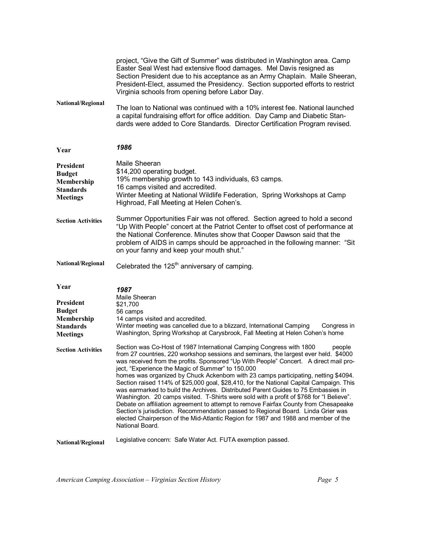project, "Give the Gift of Summer" was distributed in Washington area. Camp Easter Seal West had extensive flood damages. Mel Davis resigned as Section President due to his acceptance as an Army Chaplain. Maile Sheeran, President-Elect, assumed the Presidency. Section supported efforts to restrict Virginia schools from opening before Labor Day.

**National/Regional** The loan to National was continued with a 10% interest fee. National launched a capital fundraising effort for office addition. Day Camp and Diabetic Stan dards were added to Core Standards. Director Certification Program revised.

**Year** *1986*

| President<br><b>Budget</b><br>Membership<br><b>Standards</b><br><b>Meetings</b>         | Maile Sheeran<br>\$14,200 operating budget.<br>19% membership growth to 143 individuals, 63 camps.<br>16 camps visited and accredited.<br>Winter Meeting at National Wildlife Federation, Spring Workshops at Camp<br>Highroad, Fall Meeting at Helen Cohen's.                                                                                                                                                                                                                                                                                                                                                                                                                                                                                                                                                                                                                                                                                                             |
|-----------------------------------------------------------------------------------------|----------------------------------------------------------------------------------------------------------------------------------------------------------------------------------------------------------------------------------------------------------------------------------------------------------------------------------------------------------------------------------------------------------------------------------------------------------------------------------------------------------------------------------------------------------------------------------------------------------------------------------------------------------------------------------------------------------------------------------------------------------------------------------------------------------------------------------------------------------------------------------------------------------------------------------------------------------------------------|
| <b>Section Activities</b>                                                               | Summer Opportunities Fair was not offered. Section agreed to hold a second<br>"Up With People" concert at the Patriot Center to offset cost of performance at<br>the National Conference. Minutes show that Cooper Dawson said that the<br>problem of AIDS in camps should be approached in the following manner: "Sit<br>on your fanny and keep your mouth shut."                                                                                                                                                                                                                                                                                                                                                                                                                                                                                                                                                                                                         |
| <b>National/Regional</b>                                                                | Celebrated the $125th$ anniversary of camping.                                                                                                                                                                                                                                                                                                                                                                                                                                                                                                                                                                                                                                                                                                                                                                                                                                                                                                                             |
| Year<br>President<br><b>Budget</b><br>Membership<br><b>Standards</b><br><b>Meetings</b> | 1987<br>Maile Sheeran<br>\$21,700<br>56 camps<br>14 camps visited and accredited.<br>Winter meeting was cancelled due to a blizzard, International Camping<br>Congress in<br>Washington, Spring Workshop at Carysbrook, Fall Meeting at Helen Cohen's home                                                                                                                                                                                                                                                                                                                                                                                                                                                                                                                                                                                                                                                                                                                 |
| <b>Section Activities</b>                                                               | Section was Co-Host of 1987 International Camping Congress with 1800<br>people<br>from 27 countries, 220 workshop sessions and seminars, the largest ever held. \$4000<br>was received from the profits. Sponsored "Up With People" Concert. A direct mail pro-<br>ject, "Experience the Magic of Summer" to 150,000<br>homes was organized by Chuck Ackenbom with 23 camps participating, netting \$4094.<br>Section raised 114% of \$25,000 goal, \$28,410, for the National Capital Campaign. This<br>was earmarked to build the Archives. Distributed Parent Guides to 75 Embassies in<br>Washington. 20 camps visited. T-Shirts were sold with a profit of \$768 for "I Believe".<br>Debate on affiliation agreement to attempt to remove Fairfax County from Chesapeake<br>Section's jurisdiction. Recommendation passed to Regional Board. Linda Grier was<br>elected Chairperson of the Mid-Atlantic Region for 1987 and 1988 and member of the<br>National Board. |
| <b>National/Regional</b>                                                                | Legislative concern: Safe Water Act. FUTA exemption passed.                                                                                                                                                                                                                                                                                                                                                                                                                                                                                                                                                                                                                                                                                                                                                                                                                                                                                                                |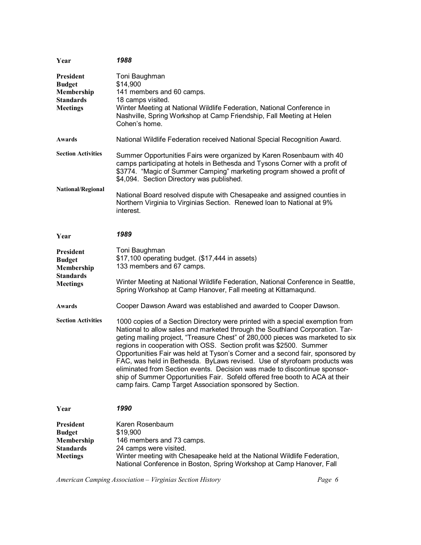| Year                                                                                   | 1988                                                                                                                                                                                                                                                                                                                                                                                                                                                                                                                                                                                                                                                                                                         |
|----------------------------------------------------------------------------------------|--------------------------------------------------------------------------------------------------------------------------------------------------------------------------------------------------------------------------------------------------------------------------------------------------------------------------------------------------------------------------------------------------------------------------------------------------------------------------------------------------------------------------------------------------------------------------------------------------------------------------------------------------------------------------------------------------------------|
| <b>President</b><br><b>Budget</b><br>Membership<br><b>Standards</b><br><b>Meetings</b> | Toni Baughman<br>\$14,900<br>141 members and 60 camps.<br>18 camps visited.<br>Winter Meeting at National Wildlife Federation, National Conference in<br>Nashville, Spring Workshop at Camp Friendship, Fall Meeting at Helen<br>Cohen's home.                                                                                                                                                                                                                                                                                                                                                                                                                                                               |
| Awards                                                                                 | National Wildlife Federation received National Special Recognition Award.                                                                                                                                                                                                                                                                                                                                                                                                                                                                                                                                                                                                                                    |
| <b>Section Activities</b><br>National/Regional                                         | Summer Opportunities Fairs were organized by Karen Rosenbaum with 40<br>camps participating at hotels in Bethesda and Tysons Corner with a profit of<br>\$3774. "Magic of Summer Camping" marketing program showed a profit of<br>\$4,094. Section Directory was published.<br>National Board resolved dispute with Chesapeake and assigned counties in<br>Northern Virginia to Virginias Section. Renewed Ioan to National at 9%<br>interest.                                                                                                                                                                                                                                                               |
| Year                                                                                   | 1989                                                                                                                                                                                                                                                                                                                                                                                                                                                                                                                                                                                                                                                                                                         |
| <b>President</b><br><b>Budget</b><br>Membership<br><b>Standards</b>                    | Toni Baughman<br>\$17,100 operating budget. (\$17,444 in assets)<br>133 members and 67 camps.                                                                                                                                                                                                                                                                                                                                                                                                                                                                                                                                                                                                                |
| <b>Meetings</b>                                                                        | Winter Meeting at National Wildlife Federation, National Conference in Seattle,<br>Spring Workshop at Camp Hanover, Fall meeting at Kittamagund.                                                                                                                                                                                                                                                                                                                                                                                                                                                                                                                                                             |
| Awards                                                                                 | Cooper Dawson Award was established and awarded to Cooper Dawson.                                                                                                                                                                                                                                                                                                                                                                                                                                                                                                                                                                                                                                            |
| <b>Section Activities</b>                                                              | 1000 copies of a Section Directory were printed with a special exemption from<br>National to allow sales and marketed through the Southland Corporation. Tar-<br>geting mailing project, "Treasure Chest" of 280,000 pieces was marketed to six<br>regions in cooperation with OSS. Section profit was \$2500. Summer<br>Opportunities Fair was held at Tyson's Corner and a second fair, sponsored by<br>FAC, was held in Bethesda. ByLaws revised. Use of styrofoam products was<br>eliminated from Section events. Decision was made to discontinue sponsor-<br>ship of Summer Opportunities Fair. Sofeld offered free booth to ACA at their<br>camp fairs. Camp Target Association sponsored by Section. |
| Year                                                                                   | 1990                                                                                                                                                                                                                                                                                                                                                                                                                                                                                                                                                                                                                                                                                                         |
| <b>President</b><br><b>Budget</b><br>Membership<br><b>Standards</b><br><b>Meetings</b> | Karen Rosenbaum<br>\$19,900<br>146 members and 73 camps.<br>24 camps were visited.<br>Winter meeting with Chesapeake held at the National Wildlife Federation,<br>National Conference in Boston, Spring Workshop at Camp Hanover, Fall                                                                                                                                                                                                                                                                                                                                                                                                                                                                       |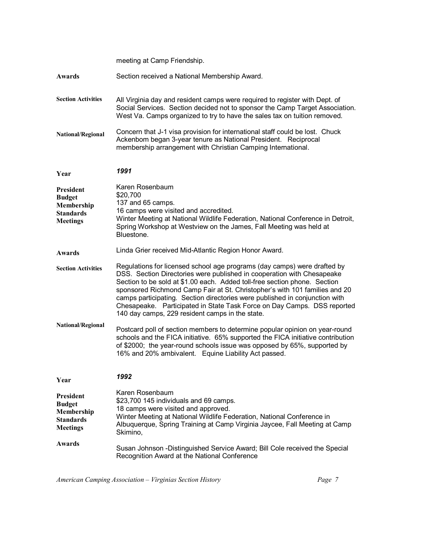|                                                                                        | meeting at Camp Friendship.                                                                                                                                                                                                                                                                                                                                                                                                                                                                                                |
|----------------------------------------------------------------------------------------|----------------------------------------------------------------------------------------------------------------------------------------------------------------------------------------------------------------------------------------------------------------------------------------------------------------------------------------------------------------------------------------------------------------------------------------------------------------------------------------------------------------------------|
| Awards                                                                                 | Section received a National Membership Award.                                                                                                                                                                                                                                                                                                                                                                                                                                                                              |
| <b>Section Activities</b>                                                              | All Virginia day and resident camps were required to register with Dept. of<br>Social Services. Section decided not to sponsor the Camp Target Association.<br>West Va. Camps organized to try to have the sales tax on tuition removed.                                                                                                                                                                                                                                                                                   |
| National/Regional                                                                      | Concern that J-1 visa provision for international staff could be lost. Chuck<br>Ackenbom began 3-year tenure as National President. Reciprocal<br>membership arrangement with Christian Camping International.                                                                                                                                                                                                                                                                                                             |
| Year                                                                                   | 1991                                                                                                                                                                                                                                                                                                                                                                                                                                                                                                                       |
| <b>President</b><br><b>Budget</b><br>Membership<br><b>Standards</b><br><b>Meetings</b> | Karen Rosenbaum<br>\$20,700<br>137 and 65 camps.<br>16 camps were visited and accredited.<br>Winter Meeting at National Wildlife Federation, National Conference in Detroit,<br>Spring Workshop at Westview on the James, Fall Meeting was held at<br>Bluestone.                                                                                                                                                                                                                                                           |
| Awards                                                                                 | Linda Grier received Mid-Atlantic Region Honor Award.                                                                                                                                                                                                                                                                                                                                                                                                                                                                      |
| <b>Section Activities</b>                                                              | Regulations for licensed school age programs (day camps) were drafted by<br>DSS. Section Directories were published in cooperation with Chesapeake<br>Section to be sold at \$1.00 each. Added toll-free section phone. Section<br>sponsored Richmond Camp Fair at St. Christopher's with 101 families and 20<br>camps participating. Section directories were published in conjunction with<br>Chesapeake. Participated in State Task Force on Day Camps. DSS reported<br>140 day camps, 229 resident camps in the state. |
| National/Regional                                                                      | Postcard poll of section members to determine popular opinion on year-round<br>schools and the FICA initiative. 65% supported the FICA initiative contribution<br>of \$2000; the year-round schools issue was opposed by 65%, supported by<br>16% and 20% ambivalent. Equine Liability Act passed.                                                                                                                                                                                                                         |
| Year                                                                                   | 1992                                                                                                                                                                                                                                                                                                                                                                                                                                                                                                                       |
| <b>President</b><br><b>Budget</b><br>Membership<br><b>Standards</b><br><b>Meetings</b> | Karen Rosenbaum<br>\$23,700 145 individuals and 69 camps.<br>18 camps were visited and approved.<br>Winter Meeting at National Wildlife Federation, National Conference in<br>Albuquerque, Spring Training at Camp Virginia Jaycee, Fall Meeting at Camp<br>Skimino,                                                                                                                                                                                                                                                       |
| <b>Awards</b>                                                                          | Susan Johnson - Distinguished Service Award; Bill Cole received the Special<br>Recognition Award at the National Conference                                                                                                                                                                                                                                                                                                                                                                                                |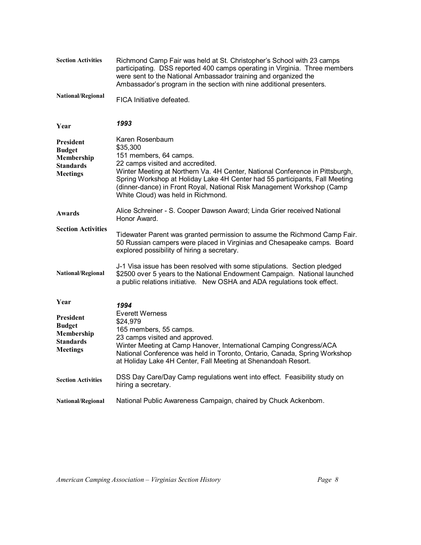| <b>Section Activities</b>                                                              | Richmond Camp Fair was held at St. Christopher's School with 23 camps<br>participating. DSS reported 400 camps operating in Virginia. Three members<br>were sent to the National Ambassador training and organized the<br>Ambassador's program in the section with nine additional presenters.                                                                           |
|----------------------------------------------------------------------------------------|--------------------------------------------------------------------------------------------------------------------------------------------------------------------------------------------------------------------------------------------------------------------------------------------------------------------------------------------------------------------------|
| National/Regional                                                                      | FICA Initiative defeated.                                                                                                                                                                                                                                                                                                                                                |
| Year                                                                                   | 1993                                                                                                                                                                                                                                                                                                                                                                     |
| President<br><b>Budget</b><br>Membership<br><b>Standards</b><br><b>Meetings</b>        | Karen Rosenbaum<br>\$35,300<br>151 members, 64 camps.<br>22 camps visited and accredited.<br>Winter Meeting at Northern Va. 4H Center, National Conference in Pittsburgh,<br>Spring Workshop at Holiday Lake 4H Center had 55 participants, Fall Meeting<br>(dinner-dance) in Front Royal, National Risk Management Workshop (Camp<br>White Cloud) was held in Richmond. |
| Awards                                                                                 | Alice Schreiner - S. Cooper Dawson Award; Linda Grier received National<br>Honor Award.                                                                                                                                                                                                                                                                                  |
| <b>Section Activities</b>                                                              | Tidewater Parent was granted permission to assume the Richmond Camp Fair.<br>50 Russian campers were placed in Virginias and Chesapeake camps. Board<br>explored possibility of hiring a secretary.                                                                                                                                                                      |
| National/Regional                                                                      | J-1 Visa issue has been resolved with some stipulations. Section pledged<br>\$2500 over 5 years to the National Endowment Campaign. National launched<br>a public relations initiative. New OSHA and ADA regulations took effect.                                                                                                                                        |
| Year                                                                                   | 1994                                                                                                                                                                                                                                                                                                                                                                     |
| <b>President</b><br><b>Budget</b><br>Membership<br><b>Standards</b><br><b>Meetings</b> | <b>Everett Werness</b><br>\$24,979<br>165 members, 55 camps.<br>23 camps visited and approved.<br>Winter Meeting at Camp Hanover, International Camping Congress/ACA<br>National Conference was held in Toronto, Ontario, Canada, Spring Workshop<br>at Holiday Lake 4H Center, Fall Meeting at Shenandoah Resort.                                                       |
| <b>Section Activities</b>                                                              | DSS Day Care/Day Camp regulations went into effect. Feasibility study on<br>hiring a secretary.                                                                                                                                                                                                                                                                          |
| <b>National/Regional</b>                                                               | National Public Awareness Campaign, chaired by Chuck Ackenbom.                                                                                                                                                                                                                                                                                                           |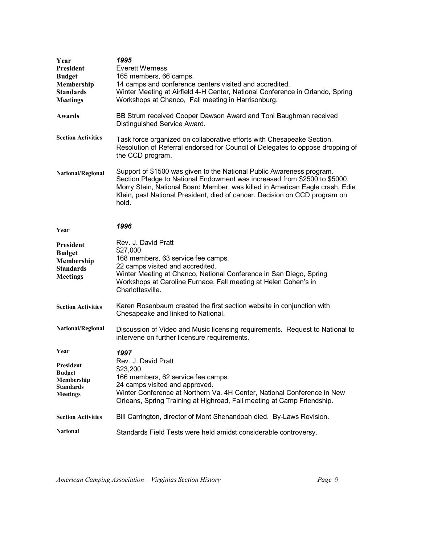| Year<br>President<br><b>Budget</b><br>Membership<br><b>Standards</b><br><b>Meetings</b> | 1995<br><b>Everett Werness</b><br>165 members, 66 camps.<br>14 camps and conference centers visited and accredited.<br>Winter Meeting at Airfield 4-H Center, National Conference in Orlando, Spring<br>Workshops at Chanco, Fall meeting in Harrisonburg.                                                                |
|-----------------------------------------------------------------------------------------|---------------------------------------------------------------------------------------------------------------------------------------------------------------------------------------------------------------------------------------------------------------------------------------------------------------------------|
| Awards                                                                                  | BB Strum received Cooper Dawson Award and Toni Baughman received<br>Distinguished Service Award.                                                                                                                                                                                                                          |
| <b>Section Activities</b>                                                               | Task force organized on collaborative efforts with Chesapeake Section.<br>Resolution of Referral endorsed for Council of Delegates to oppose dropping of<br>the CCD program.                                                                                                                                              |
| National/Regional                                                                       | Support of \$1500 was given to the National Public Awareness program.<br>Section Pledge to National Endowment was increased from \$2500 to \$5000.<br>Morry Stein, National Board Member, was killed in American Eagle crash, Edie<br>Klein, past National President, died of cancer. Decision on CCD program on<br>hold. |
| Year                                                                                    | 1996                                                                                                                                                                                                                                                                                                                      |
| President<br><b>Budget</b><br>Membership<br><b>Standards</b><br><b>Meetings</b>         | Rev. J. David Pratt<br>\$27,000<br>168 members, 63 service fee camps.<br>22 camps visited and accredited.<br>Winter Meeting at Chanco, National Conference in San Diego, Spring<br>Workshops at Caroline Furnace, Fall meeting at Helen Cohen's in<br>Charlottesville.                                                    |
| <b>Section Activities</b>                                                               | Karen Rosenbaum created the first section website in conjunction with<br>Chesapeake and linked to National.                                                                                                                                                                                                               |
| National/Regional                                                                       | Discussion of Video and Music licensing requirements. Request to National to<br>intervene on further licensure requirements.                                                                                                                                                                                              |
| Year<br>President<br><b>Budget</b><br>Membership<br>Standards<br><b>Meetings</b>        | 1997<br>Rev. J. David Pratt<br>\$23,200<br>166 members, 62 service fee camps.<br>24 camps visited and approved.<br>Winter Conference at Northern Va. 4H Center, National Conference in New<br>Orleans, Spring Training at Highroad, Fall meeting at Camp Friendship.                                                      |
| <b>Section Activities</b>                                                               | Bill Carrington, director of Mont Shenandoah died. By-Laws Revision.                                                                                                                                                                                                                                                      |
| <b>National</b>                                                                         | Standards Field Tests were held amidst considerable controversy.                                                                                                                                                                                                                                                          |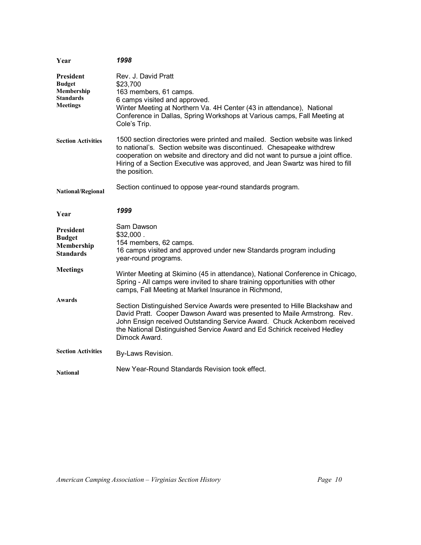| Year                                                                     | 1998                                                                                                                                                                                                                                                                                                                                      |
|--------------------------------------------------------------------------|-------------------------------------------------------------------------------------------------------------------------------------------------------------------------------------------------------------------------------------------------------------------------------------------------------------------------------------------|
| President<br><b>Budget</b><br>Membership<br>Standards<br><b>Meetings</b> | Rev. J. David Pratt<br>\$23,700<br>163 members, 61 camps.<br>6 camps visited and approved.<br>Winter Meeting at Northern Va. 4H Center (43 in attendance), National<br>Conference in Dallas, Spring Workshops at Various camps, Fall Meeting at<br>Cole's Trip.                                                                           |
| <b>Section Activities</b>                                                | 1500 section directories were printed and mailed. Section website was linked<br>to national's. Section website was discontinued. Chesapeake withdrew<br>cooperation on website and directory and did not want to pursue a joint office.<br>Hiring of a Section Executive was approved, and Jean Swartz was hired to fill<br>the position. |
| National/Regional                                                        | Section continued to oppose year-round standards program.                                                                                                                                                                                                                                                                                 |
| Year                                                                     | 1999                                                                                                                                                                                                                                                                                                                                      |
| President<br><b>Budget</b><br>Membership<br><b>Standards</b>             | Sam Dawson<br>\$32,000.<br>154 members, 62 camps.<br>16 camps visited and approved under new Standards program including<br>year-round programs.                                                                                                                                                                                          |
| <b>Meetings</b>                                                          | Winter Meeting at Skimino (45 in attendance), National Conference in Chicago,<br>Spring - All camps were invited to share training opportunities with other<br>camps, Fall Meeting at Markel Insurance in Richmond,                                                                                                                       |
| Awards                                                                   | Section Distinguished Service Awards were presented to Hille Blackshaw and<br>David Pratt. Cooper Dawson Award was presented to Maile Armstrong. Rev.<br>John Ensign received Outstanding Service Award. Chuck Ackenbom received<br>the National Distinguished Service Award and Ed Schirick received Hedley<br>Dimock Award.             |
| <b>Section Activities</b>                                                | By-Laws Revision.                                                                                                                                                                                                                                                                                                                         |
| <b>National</b>                                                          | New Year-Round Standards Revision took effect.                                                                                                                                                                                                                                                                                            |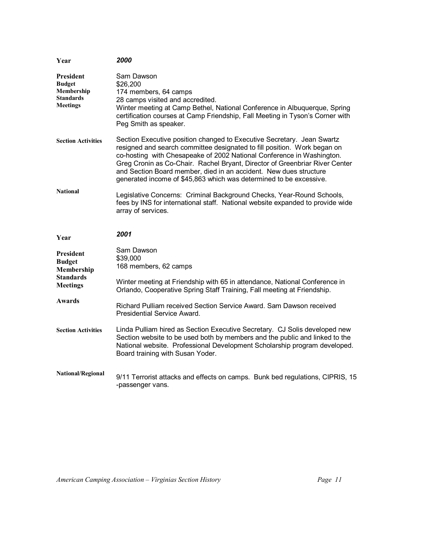| Year                                                                            | 2000                                                                                                                                                                                                                                                                                                                                                                                                                                                  |
|---------------------------------------------------------------------------------|-------------------------------------------------------------------------------------------------------------------------------------------------------------------------------------------------------------------------------------------------------------------------------------------------------------------------------------------------------------------------------------------------------------------------------------------------------|
| President<br><b>Budget</b><br>Membership<br>Standards<br>Meetings               | Sam Dawson<br>\$26,200<br>174 members, 64 camps<br>28 camps visited and accredited.<br>Winter meeting at Camp Bethel, National Conference in Albuquerque, Spring<br>certification courses at Camp Friendship, Fall Meeting in Tyson's Corner with<br>Peg Smith as speaker.                                                                                                                                                                            |
| <b>Section Activities</b>                                                       | Section Executive position changed to Executive Secretary. Jean Swartz<br>resigned and search committee designated to fill position. Work began on<br>co-hosting with Chesapeake of 2002 National Conference in Washington.<br>Greg Cronin as Co-Chair. Rachel Bryant, Director of Greenbriar River Center<br>and Section Board member, died in an accident. New dues structure<br>generated income of \$45,863 which was determined to be excessive. |
| <b>National</b>                                                                 | Legislative Concerns: Criminal Background Checks, Year-Round Schools,<br>fees by INS for international staff. National website expanded to provide wide<br>array of services.                                                                                                                                                                                                                                                                         |
| Year                                                                            | 2001                                                                                                                                                                                                                                                                                                                                                                                                                                                  |
| President<br><b>Budget</b><br>Membership<br><b>Standards</b><br><b>Meetings</b> | Sam Dawson<br>\$39,000<br>168 members, 62 camps<br>Winter meeting at Friendship with 65 in attendance, National Conference in                                                                                                                                                                                                                                                                                                                         |
|                                                                                 | Orlando, Cooperative Spring Staff Training, Fall meeting at Friendship.                                                                                                                                                                                                                                                                                                                                                                               |
| Awards                                                                          | Richard Pulliam received Section Service Award, Sam Dawson received<br>Presidential Service Award.                                                                                                                                                                                                                                                                                                                                                    |
| <b>Section Activities</b>                                                       | Linda Pulliam hired as Section Executive Secretary. CJ Solis developed new<br>Section website to be used both by members and the public and linked to the<br>National website. Professional Development Scholarship program developed.<br>Board training with Susan Yoder.                                                                                                                                                                            |
| <b>National/Regional</b>                                                        | 9/11 Terrorist attacks and effects on camps. Bunk bed regulations, CIPRIS, 15<br>-passenger vans.                                                                                                                                                                                                                                                                                                                                                     |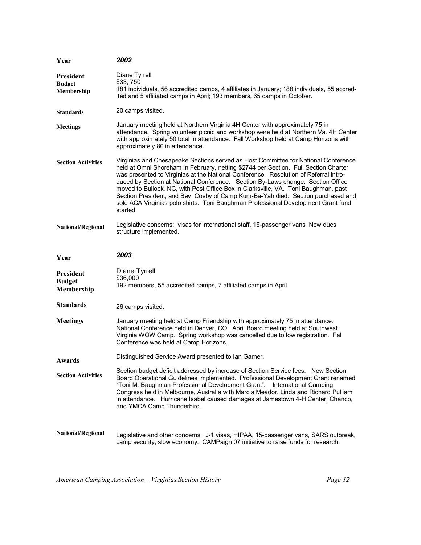| Year                                            | 2002                                                                                                                                                                                                                                                                                                                                                                                                                                                                                                                                                                                                                           |
|-------------------------------------------------|--------------------------------------------------------------------------------------------------------------------------------------------------------------------------------------------------------------------------------------------------------------------------------------------------------------------------------------------------------------------------------------------------------------------------------------------------------------------------------------------------------------------------------------------------------------------------------------------------------------------------------|
| <b>President</b><br><b>Budget</b><br>Membership | Diane Tyrrell<br>\$33,750<br>181 individuals, 56 accredited camps, 4 affiliates in January; 188 individuals, 55 accred-<br>ited and 5 affiliated camps in April; 193 members, 65 camps in October.                                                                                                                                                                                                                                                                                                                                                                                                                             |
| <b>Standards</b>                                | 20 camps visited.                                                                                                                                                                                                                                                                                                                                                                                                                                                                                                                                                                                                              |
| <b>Meetings</b>                                 | January meeting held at Northern Virginia 4H Center with approximately 75 in<br>attendance. Spring volunteer picnic and workshop were held at Northern Va. 4H Center<br>with approximately 50 total in attendance. Fall Workshop held at Camp Horizons with<br>approximately 80 in attendance.                                                                                                                                                                                                                                                                                                                                 |
| <b>Section Activities</b>                       | Virginias and Chesapeake Sections served as Host Committee for National Conference<br>held at Omni Shoreham in February, netting \$2744 per Section. Full Section Charter<br>was presented to Virginias at the National Conference. Resolution of Referral intro-<br>duced by Section at National Conference. Section By-Laws change. Section Office<br>moved to Bullock, NC, with Post Office Box in Clarksville, VA. Toni Baughman, past<br>Section President, and Bev Cosby of Camp Kum-Ba-Yah died. Section purchased and<br>sold ACA Virginias polo shirts. Toni Baughman Professional Development Grant fund<br>started. |
| National/Regional                               | Legislative concerns: visas for international staff, 15-passenger vans New dues<br>structure implemented.                                                                                                                                                                                                                                                                                                                                                                                                                                                                                                                      |
| Year                                            | 2003                                                                                                                                                                                                                                                                                                                                                                                                                                                                                                                                                                                                                           |
| President<br><b>Budget</b><br>Membership        | Diane Tyrrell<br>\$36,000<br>192 members, 55 accredited camps, 7 affiliated camps in April.                                                                                                                                                                                                                                                                                                                                                                                                                                                                                                                                    |
| <b>Standards</b>                                | 26 camps visited.                                                                                                                                                                                                                                                                                                                                                                                                                                                                                                                                                                                                              |
| <b>Meetings</b>                                 | January meeting held at Camp Friendship with approximately 75 in attendance.<br>National Conference held in Denver, CO. April Board meeting held at Southwest<br>Virginia WOW Camp. Spring workshop was cancelled due to low registration. Fall<br>Conference was held at Camp Horizons.                                                                                                                                                                                                                                                                                                                                       |
| Awards                                          | Distinguished Service Award presented to Ian Garner.                                                                                                                                                                                                                                                                                                                                                                                                                                                                                                                                                                           |
| <b>Section Activities</b>                       |                                                                                                                                                                                                                                                                                                                                                                                                                                                                                                                                                                                                                                |
|                                                 | Section budget deficit addressed by increase of Section Service fees. New Section<br>Board Operational Guidelines implemented. Professional Development Grant renamed<br>"Toni M. Baughman Professional Development Grant". International Camping<br>Congress held in Melbourne, Australia with Marcia Meador, Linda and Richard Pulliam<br>in attendance. Hurricane Isabel caused damages at Jamestown 4-H Center, Chanco,<br>and YMCA Camp Thunderbird.                                                                                                                                                                      |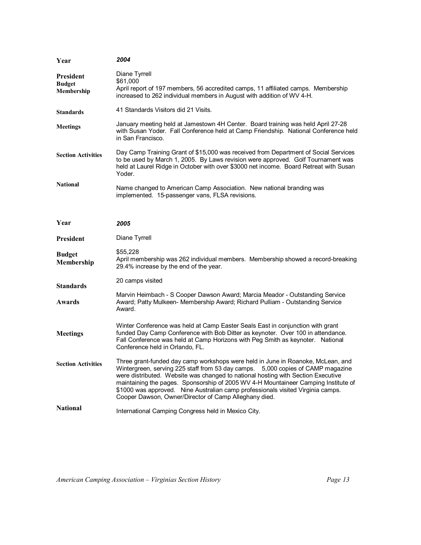| Year                                     | 2004                                                                                                                                                                                                                                                                                                                                                                                                                                                                                     |
|------------------------------------------|------------------------------------------------------------------------------------------------------------------------------------------------------------------------------------------------------------------------------------------------------------------------------------------------------------------------------------------------------------------------------------------------------------------------------------------------------------------------------------------|
| President<br><b>Budget</b><br>Membership | Diane Tyrrell<br>\$61,000<br>April report of 197 members, 56 accredited camps, 11 affiliated camps. Membership<br>increased to 262 individual members in August with addition of WV 4-H.                                                                                                                                                                                                                                                                                                 |
| <b>Standards</b>                         | 41 Standards Visitors did 21 Visits.                                                                                                                                                                                                                                                                                                                                                                                                                                                     |
| <b>Meetings</b>                          | January meeting held at Jamestown 4H Center. Board training was held April 27-28<br>with Susan Yoder. Fall Conference held at Camp Friendship. National Conference held<br>in San Francisco.                                                                                                                                                                                                                                                                                             |
| <b>Section Activities</b>                | Day Camp Training Grant of \$15,000 was received from Department of Social Services<br>to be used by March 1, 2005. By Laws revision were approved. Golf Tournament was<br>held at Laurel Ridge in October with over \$3000 net income. Board Retreat with Susan<br>Yoder.                                                                                                                                                                                                               |
| <b>National</b>                          | Name changed to American Camp Association. New national branding was<br>implemented. 15-passenger vans, FLSA revisions.                                                                                                                                                                                                                                                                                                                                                                  |
| Year                                     | 2005                                                                                                                                                                                                                                                                                                                                                                                                                                                                                     |
| <b>President</b>                         | Diane Tyrrell                                                                                                                                                                                                                                                                                                                                                                                                                                                                            |
| <b>Budget</b><br>Membership              | \$55,228<br>April membership was 262 individual members. Membership showed a record-breaking<br>29.4% increase by the end of the year.                                                                                                                                                                                                                                                                                                                                                   |
| <b>Standards</b>                         | 20 camps visited                                                                                                                                                                                                                                                                                                                                                                                                                                                                         |
| Awards                                   | Marvin Heimbach - S Cooper Dawson Award; Marcia Meador - Outstanding Service<br>Award; Patty Mulkeen- Membership Award; Richard Pulliam - Outstanding Service<br>Award.                                                                                                                                                                                                                                                                                                                  |
| <b>Meetings</b>                          | Winter Conference was held at Camp Easter Seals East in conjunction with grant<br>funded Day Camp Conference with Bob Ditter as keynoter. Over 100 in attendance.<br>Fall Conference was held at Camp Horizons with Peg Smith as keynoter. National<br>Conference held in Orlando, FL.                                                                                                                                                                                                   |
| <b>Section Activities</b>                | Three grant-funded day camp workshops were held in June in Roanoke, McLean, and<br>Wintergreen, serving 225 staff from 53 day camps. 5,000 copies of CAMP magazine<br>were distributed. Website was changed to national hosting with Section Executive<br>maintaining the pages. Sponsorship of 2005 WV 4-H Mountaineer Camping Institute of<br>\$1000 was approved. Nine Australian camp professionals visited Virginia camps.<br>Cooper Dawson, Owner/Director of Camp Alleghany died. |
| <b>National</b>                          | International Camping Congress held in Mexico City.                                                                                                                                                                                                                                                                                                                                                                                                                                      |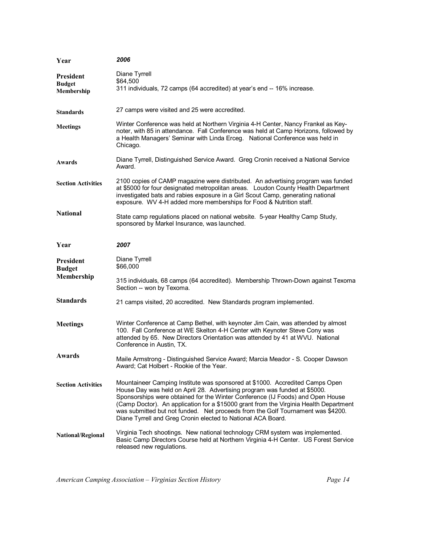| Year                                            | 2006                                                                                                                                                                                                                                                                                                                                                                                                                                                                                    |
|-------------------------------------------------|-----------------------------------------------------------------------------------------------------------------------------------------------------------------------------------------------------------------------------------------------------------------------------------------------------------------------------------------------------------------------------------------------------------------------------------------------------------------------------------------|
| <b>President</b><br><b>Budget</b><br>Membership | Diane Tyrrell<br>\$64,500<br>311 individuals, 72 camps (64 accredited) at year's end -- 16% increase.                                                                                                                                                                                                                                                                                                                                                                                   |
| <b>Standards</b>                                | 27 camps were visited and 25 were accredited.                                                                                                                                                                                                                                                                                                                                                                                                                                           |
| <b>Meetings</b>                                 | Winter Conference was held at Northern Virginia 4-H Center, Nancy Frankel as Key-<br>noter, with 85 in attendance. Fall Conference was held at Camp Horizons, followed by<br>a Health Managers' Seminar with Linda Erceg. National Conference was held in<br>Chicago.                                                                                                                                                                                                                   |
| Awards                                          | Diane Tyrrell, Distinguished Service Award. Greg Cronin received a National Service<br>Award.                                                                                                                                                                                                                                                                                                                                                                                           |
| <b>Section Activities</b>                       | 2100 copies of CAMP magazine were distributed. An advertising program was funded<br>at \$5000 for four designated metropolitan areas. Loudon County Health Department<br>investigated bats and rabies exposure in a Girl Scout Camp, generating national<br>exposure. WV 4-H added more memberships for Food & Nutrition staff.                                                                                                                                                         |
| <b>National</b>                                 | State camp regulations placed on national website. 5-year Healthy Camp Study,<br>sponsored by Markel Insurance, was launched.                                                                                                                                                                                                                                                                                                                                                           |
| Year                                            | 2007                                                                                                                                                                                                                                                                                                                                                                                                                                                                                    |
| <b>President</b><br><b>Budget</b><br>Membership | Diane Tyrrell<br>\$66,000<br>315 individuals, 68 camps (64 accredited). Membership Thrown-Down against Texoma                                                                                                                                                                                                                                                                                                                                                                           |
|                                                 | Section -- won by Texoma.                                                                                                                                                                                                                                                                                                                                                                                                                                                               |
| <b>Standards</b>                                | 21 camps visited, 20 accredited. New Standards program implemented.                                                                                                                                                                                                                                                                                                                                                                                                                     |
| <b>Meetings</b>                                 | Winter Conference at Camp Bethel, with keynoter Jim Cain, was attended by almost<br>100. Fall Conference at WE Skelton 4-H Center with Keynoter Steve Cony was<br>attended by 65. New Directors Orientation was attended by 41 at WVU. National<br>Conference in Austin, TX.                                                                                                                                                                                                            |
| <b>Awards</b>                                   | Maile Armstrong - Distinguished Service Award; Marcia Meador - S. Cooper Dawson<br>Award; Cat Holbert - Rookie of the Year.                                                                                                                                                                                                                                                                                                                                                             |
| <b>Section Activities</b>                       | Mountaineer Camping Institute was sponsored at \$1000. Accredited Camps Open<br>House Day was held on April 28. Advertising program was funded at \$5000.<br>Sponsorships were obtained for the Winter Conference (IJ Foods) and Open House<br>(Camp Doctor). An application for a \$15000 grant from the Virginia Health Department<br>was submitted but not funded. Net proceeds from the Golf Tournament was \$4200.<br>Diane Tyrrell and Greg Cronin elected to National ACA Board. |
| <b>National/Regional</b>                        | Virginia Tech shootings. New national technology CRM system was implemented.<br>Basic Camp Directors Course held at Northern Virginia 4-H Center. US Forest Service<br>released new regulations.                                                                                                                                                                                                                                                                                        |